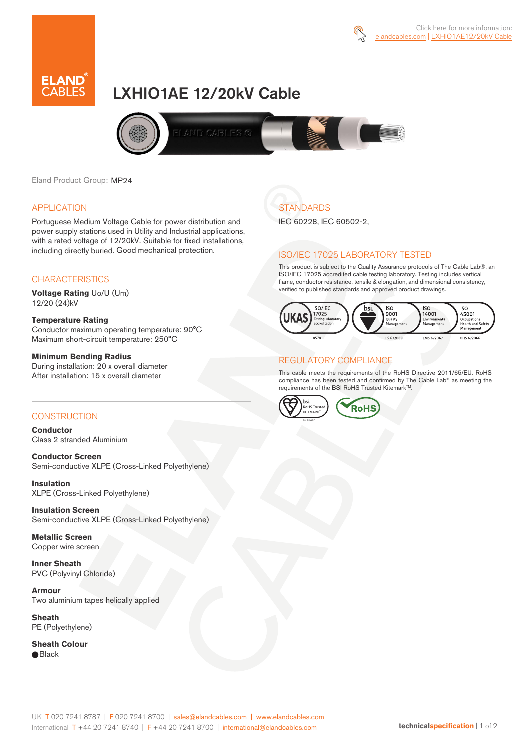



# LXHIO1AE 12/20kV Cable



Eland Product Group: MP24

### APPLICATION

Portuguese Medium Voltage Cable for power distribution and power supply stations used in Utility and Industrial applications, with a rated voltage of 12/20kV. Suitable for fixed installations, including directly buried. Good mechanical protection.

### **CHARACTERISTICS**

**Voltage Rating** Uo/U (Um) 12/20 (24)kV

### **Temperature Rating**

Conductor maximum operating temperature: 90°C Maximum short-circuit temperature: 250°C

#### **Minimum Bending Radius**

During installation: 20 x overall diameter After installation: 15 x overall diameter

### **CONSTRUCTION**

**Conductor**  Class 2 stranded Aluminium

**Conductor Screen** Semi-conductive XLPE (Cross-Linked Polyethylene)

**Insulation** XLPE (Cross-Linked Polyethylene)

**Insulation Screen** Semi-conductive XLPE (Cross-Linked Polyethylene)

**Metallic Screen**  Copper wire screen

**Inner Sheath** PVC (Polyvinyl Chloride)

**Armour** Two aluminium tapes helically applied

**Sheath** PE (Polyethylene)

**Sheath Colour**  ● Black

# **STANDARDS**

IEC 60228, IEC 60502-2,

### ISO/IEC 17025 LABORATORY TESTED

This product is subject to the Quality Assurance protocols of The Cable Lab®, an ISO/IEC 17025 accredited cable testing laboratory. Testing includes vertical flame, conductor resistance, tensile & elongation, and dimensional consistency, verified to published standards and approved product drawings.



### REGULATORY COMPLIANCE

This cable meets the requirements of the RoHS Directive 2011/65/EU. RoHS compliance has been tested and confirmed by The Cable Lab® as meeting the requirements of the BSI RoHS Trusted KitemarkTM.